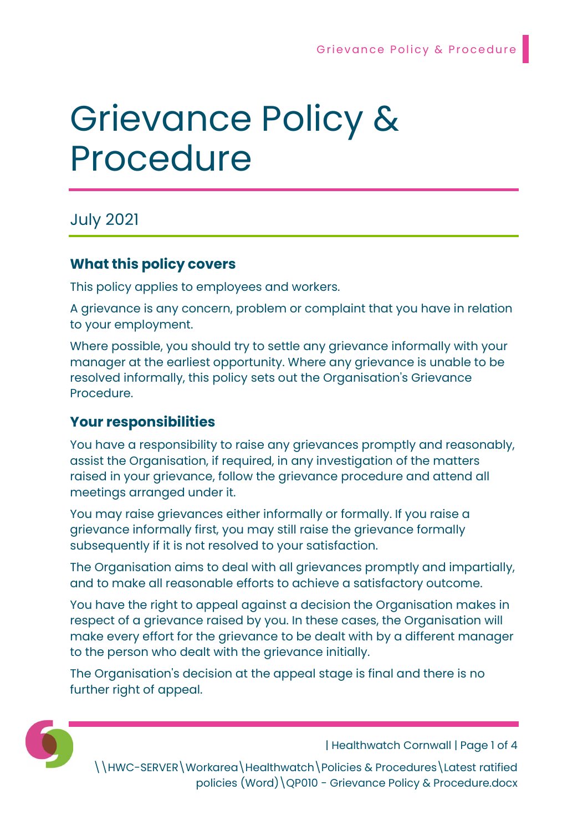# Grievance Policy & Procedure

July 2021

# What this policy covers

This policy applies to employees and workers.

A grievance is any concern, problem or complaint that you have in relation to your employment.

Where possible, you should try to settle any grievance informally with your manager at the earliest opportunity. Where any grievance is unable to be resolved informally, this policy sets out the Organisation's Grievance **Procedure** 

# Your responsibilities

You have a responsibility to raise any grievances promptly and reasonably, assist the Organisation, if required, in any investigation of the matters raised in your grievance, follow the grievance procedure and attend all meetings arranged under it.

You may raise grievances either informally or formally. If you raise a grievance informally first, you may still raise the grievance formally subsequently if it is not resolved to your satisfaction.

The Organisation aims to deal with all grievances promptly and impartially, and to make all reasonable efforts to achieve a satisfactory outcome.

You have the right to appeal against a decision the Organisation makes in respect of a grievance raised by you. In these cases, the Organisation will make every effort for the grievance to be dealt with by a different manager to the person who dealt with the grievance initially.

The Organisation's decision at the appeal stage is final and there is no further right of appeal.



| Healthwatch Cornwall | Page 1 of 4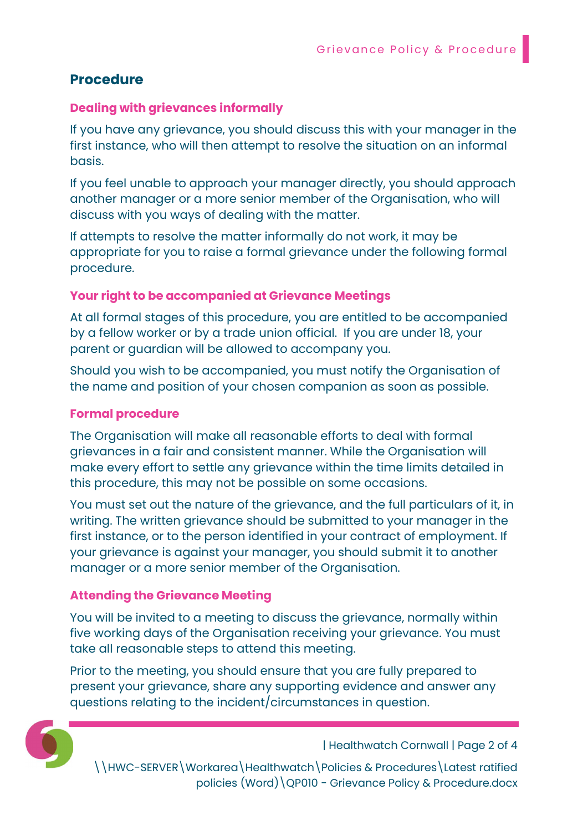# Procedure

## Dealing with grievances informally

If you have any grievance, you should discuss this with your manager in the first instance, who will then attempt to resolve the situation on an informal basis.

If you feel unable to approach your manager directly, you should approach another manager or a more senior member of the Organisation, who will discuss with you ways of dealing with the matter.

If attempts to resolve the matter informally do not work, it may be appropriate for you to raise a formal grievance under the following formal procedure.

## Your right to be accompanied at Grievance Meetings

At all formal stages of this procedure, you are entitled to be accompanied by a fellow worker or by a trade union official. If you are under 18, your parent or guardian will be allowed to accompany you.

Should you wish to be accompanied, you must notify the Organisation of the name and position of your chosen companion as soon as possible.

#### Formal procedure

The Organisation will make all reasonable efforts to deal with formal grievances in a fair and consistent manner. While the Organisation will make every effort to settle any grievance within the time limits detailed in this procedure, this may not be possible on some occasions.

You must set out the nature of the grievance, and the full particulars of it, in writing. The written grievance should be submitted to your manager in the first instance, or to the person identified in your contract of employment. If your grievance is against your manager, you should submit it to another manager or a more senior member of the Organisation.

## Attending the Grievance Meeting

You will be invited to a meeting to discuss the grievance, normally within five working days of the Organisation receiving your grievance. You must take all reasonable steps to attend this meeting.

Prior to the meeting, you should ensure that you are fully prepared to present your grievance, share any supporting evidence and answer any questions relating to the incident/circumstances in question.



| Healthwatch Cornwall | Page 2 of 4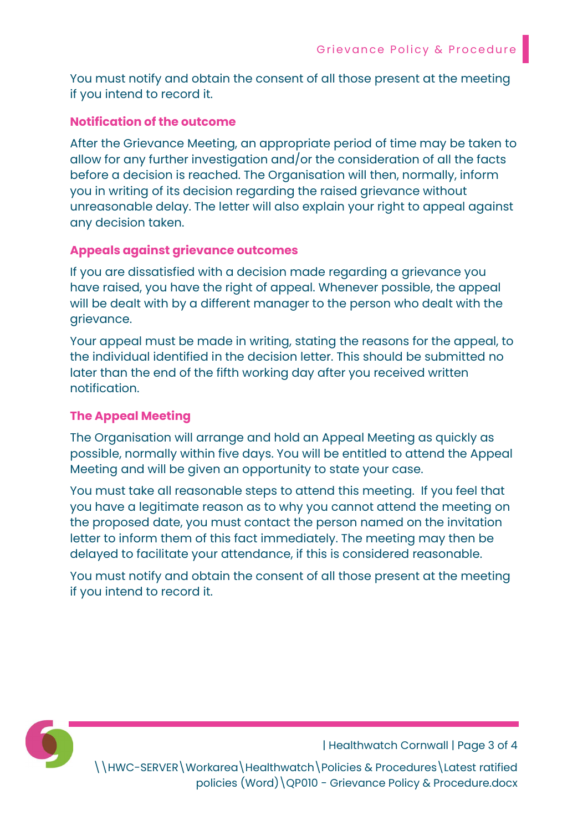You must notify and obtain the consent of all those present at the meeting if you intend to record it.

#### Notification of the outcome

After the Grievance Meeting, an appropriate period of time may be taken to allow for any further investigation and/or the consideration of all the facts before a decision is reached. The Organisation will then, normally, inform you in writing of its decision regarding the raised grievance without unreasonable delay. The letter will also explain your right to appeal against any decision taken.

## Appeals against grievance outcomes

If you are dissatisfied with a decision made regarding a grievance you have raised, you have the right of appeal. Whenever possible, the appeal will be dealt with by a different manager to the person who dealt with the grievance.

Your appeal must be made in writing, stating the reasons for the appeal, to the individual identified in the decision letter. This should be submitted no later than the end of the fifth working day after you received written notification.

#### The Appeal Meeting

The Organisation will arrange and hold an Appeal Meeting as quickly as possible, normally within five days. You will be entitled to attend the Appeal Meeting and will be given an opportunity to state your case.

You must take all reasonable steps to attend this meeting. If you feel that you have a legitimate reason as to why you cannot attend the meeting on the proposed date, you must contact the person named on the invitation letter to inform them of this fact immediately. The meeting may then be delayed to facilitate your attendance, if this is considered reasonable.

You must notify and obtain the consent of all those present at the meeting if you intend to record it.



| Healthwatch Cornwall | Page 3 of 4